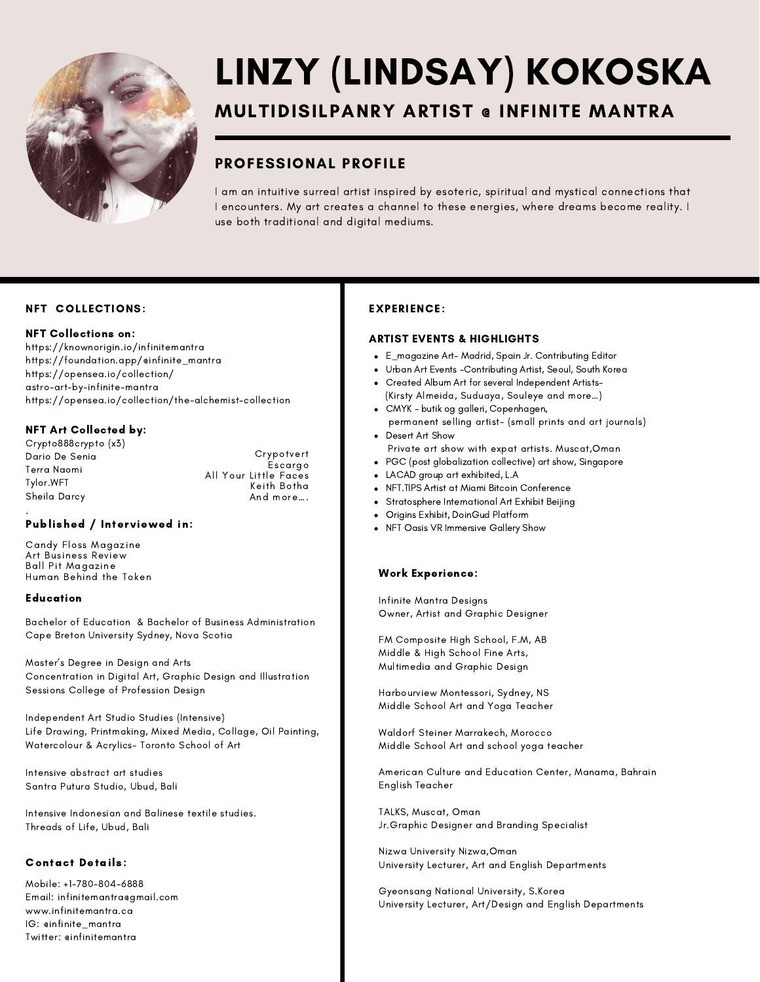

# LINZY (LINDSAY) KOKOSKA

## MULTIDISILPANRY ARTIST @ INFINITE MANTRA

## PROFESSIONAL PROFILE

I am an intuitive surreal artist inspired by esoteric, spiritual and mystical connections that I encounters. My art creates a channel to these energies, where dreams become reality. I use both traditional and digital mediums.

#### NFT COLLECTIONS:

#### NFT Collections on:

<https://knownorigin.io/infinitemantra> [https://foundation.app/@infinite\\_mantra](https://foundation.app/@infinite_mantra) [https://opensea.io/collection/](https://opensea.io/collection/astro-art-by-infinite-mantra) [astro-art-by-infinite-mantra](https://opensea.io/collection/astro-art-by-infinite-mantra) <https://opensea.io/collection/the-alchemist-collection>

#### NFT Art Collected by:

Crypto888crypto (x3) Dario De Senia Terra Naomi Tylor.WFT Sheila Darcy Crypotvert Escargo All Your Little Faces Keith Botha And more….

#### . Published / Interviewed in:

Candy Floss Magazine Art Business Review Ball Pit Magazine Human Behind the Token

#### Education

Bachelor of Education & Bachelor of Business Administration Cape Breton University Sydney, Nova Scotia

Master's Degree in Design and Arts Concentration in Digital Art, Graphic Design and Illustration Sessions College of Profession Design

Independent Art Studio Studies (Intensive) Life Drawing, Printmaking, Mixed Media, Collage, Oil Painting, Watercolour & Acrylics- Toronto School of Art

Intensive abstract art studies Santra Putura Studio, Ubud, Bali

Intensive Indonesian and Balinese textile studies. Threads of Life, Ubud, Bali

#### Contact Details:

Mobile: +1-780-804-6888 Email: infinitemantra@gmail.com www.infinitemantra.ca IG: @infinite\_mantra Twitter: @infinitemantra

#### EXPERIENCE:

#### ARTIST EVENTS & HIGHLIGHTS

- E\_magazine Art- Madrid, Spain Jr. Contributing Editor
- Urban Art Events -Contributing Artist, Seoul, South Korea
- Created Album Art for several Independent Artists-(Kirsty Almeida, Suduaya, Souleye and more…)
- CMYK butik og galleri, Copenhagen, permanent selling artist- (small prints and art journals)
- Desert Art Show Private art show with expat artists. Muscat,Oman
- PGC (post globalization collective) art show, Singapore
- LACAD group art exhibited, L.A
- NFT.TIPS Artist at Miami Bitcoin Conference
- Stratosphere International Art Exhibit Beijing
- Origins Exhibit, DoinGud Platform
- NFT Oasis VR Immersive Gallery Show
- 

#### Work Experience:

Infinite Mantra Designs Owner, Artist and Graphic Designer

FM Composite High School, F.M, AB Middle & High School Fine Arts, Multimedia and Graphic Design

Harbourview Montessori, Sydney, NS Middle School Art and Yoga Teacher

Waldorf Steiner Marrakech, Morocco Middle School Art and school yoga teacher

American Culture and Education Center, Manama, Bahrain English Teacher

TALKS, Muscat, Oman Jr.Graphic Designer and Branding Specialist

Nizwa University Nizwa,Oman University Lecturer, Art and English Departments

Gyeonsang National University, S.Korea University Lecturer, Art/Design and English Departments